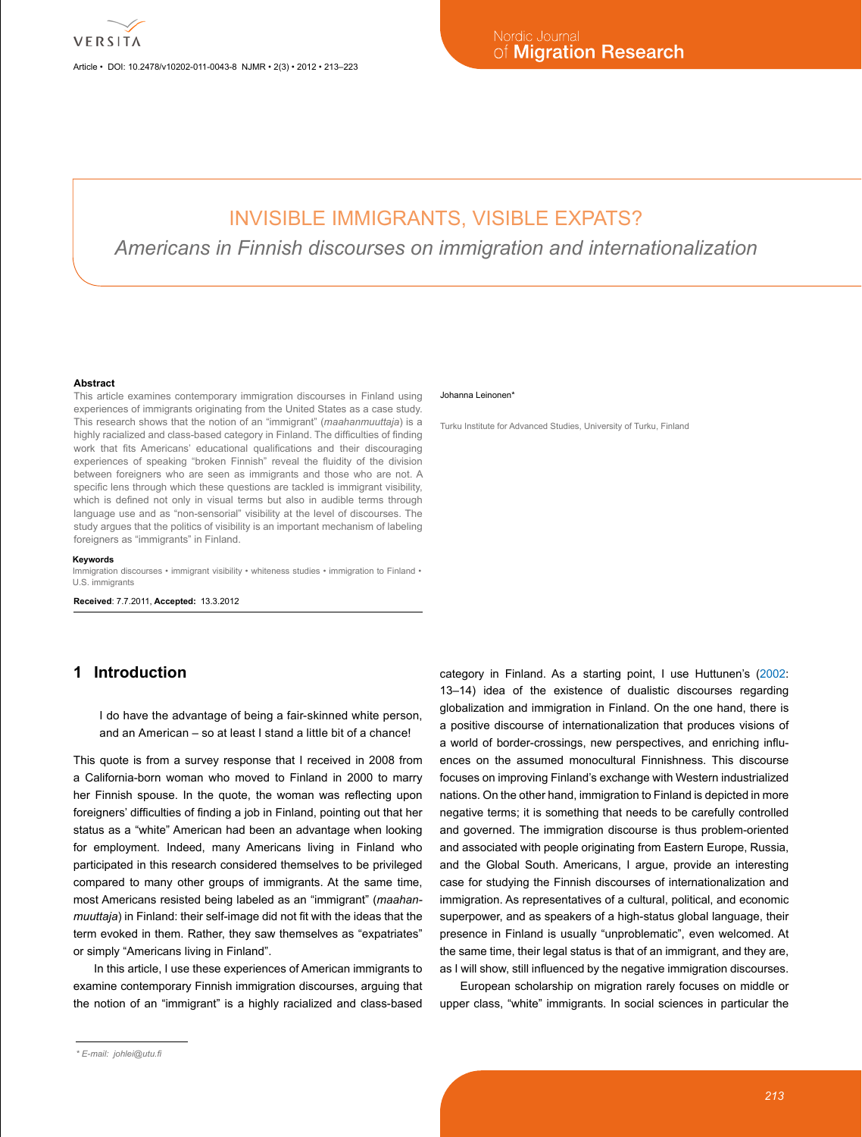Article • DOI: 10.2478/v10202-011-0043-8 NJMR • 2(3) • 2012 • 213-223

# **INVISIBLE IMMIGRANTS, VISIBLE EXPATS?**

Americans in Finnish discourses on immigration and internationalization

#### **Abstract**

This article examines contemporary immigration discourses in Finland using experiences of immigrants originating from the United States as a case study. This research shows that the notion of an "immigrant" (maahanmuuttaja) is a highly racialized and class-based category in Finland. The difficulties of finding work that fits Americans' educational qualifications and their discouraging experiences of speaking "broken Finnish" reveal the fluidity of the division between foreigners who are seen as immigrants and those who are not. A specific lens through which these questions are tackled is immigrant visibility, which is defined not only in visual terms but also in audible terms through language use and as "non-sensorial" visibility at the level of discourses. The study argues that the politics of visibility is an important mechanism of labeling foreigners as "immigrants" in Finland.

#### Keywords

Immigration discourses • immigrant visibility • whiteness studies • immigration to Finland • U.S. immigrants

Received: 7.7.2011, Accepted: 13.3.2012

# 1 Introduction

I do have the advantage of being a fair-skinned white person, and an American – so at least I stand a little bit of a chance!

This quote is from a survey response that I received in 2008 from a California-born woman who moved to Finland in 2000 to marry her Finnish spouse. In the quote, the woman was reflecting upon foreigners' difficulties of finding a job in Finland, pointing out that her status as a "white" American had been an advantage when looking for employment. Indeed, many Americans living in Finland who participated in this research considered themselves to be privileged compared to many other groups of immigrants. At the same time, most Americans resisted being labeled as an "immigrant" (maahanmuuttaja) in Finland: their self-image did not fit with the ideas that the term evoked in them. Rather, they saw themselves as "expatriates" or simply "Americans living in Finland".

In this article, I use these experiences of American immigrants to examine contemporary Finnish immigration discourses, arguing that the notion of an "immigrant" is a highly racialized and class-based Turku Institute for Advanced Studies, University of Turku, Finland

category in Finland. As a starting point, I use Huttunen's (2002: 13-14) idea of the existence of dualistic discourses regarding globalization and immigration in Finland. On the one hand, there is a positive discourse of internationalization that produces visions of a world of border-crossings, new perspectives, and enriching influences on the assumed monocultural Finnishness. This discourse focuses on improving Finland's exchange with Western industrialized nations. On the other hand, immigration to Finland is depicted in more negative terms; it is something that needs to be carefully controlled and governed. The immigration discourse is thus problem-oriented and associated with people originating from Eastern Europe, Russia, and the Global South. Americans, I argue, provide an interesting case for studying the Finnish discourses of internationalization and immigration. As representatives of a cultural, political, and economic superpower, and as speakers of a high-status global language, their presence in Finland is usually "unproblematic", even welcomed. At the same time, their legal status is that of an immigrant, and they are, as I will show, still influenced by the negative immigration discourses.

European scholarship on migration rarely focuses on middle or upper class, "white" immigrants. In social sciences in particular the

Johanna Leinonen

<sup>\*</sup> E-mail: johlei@utu.fi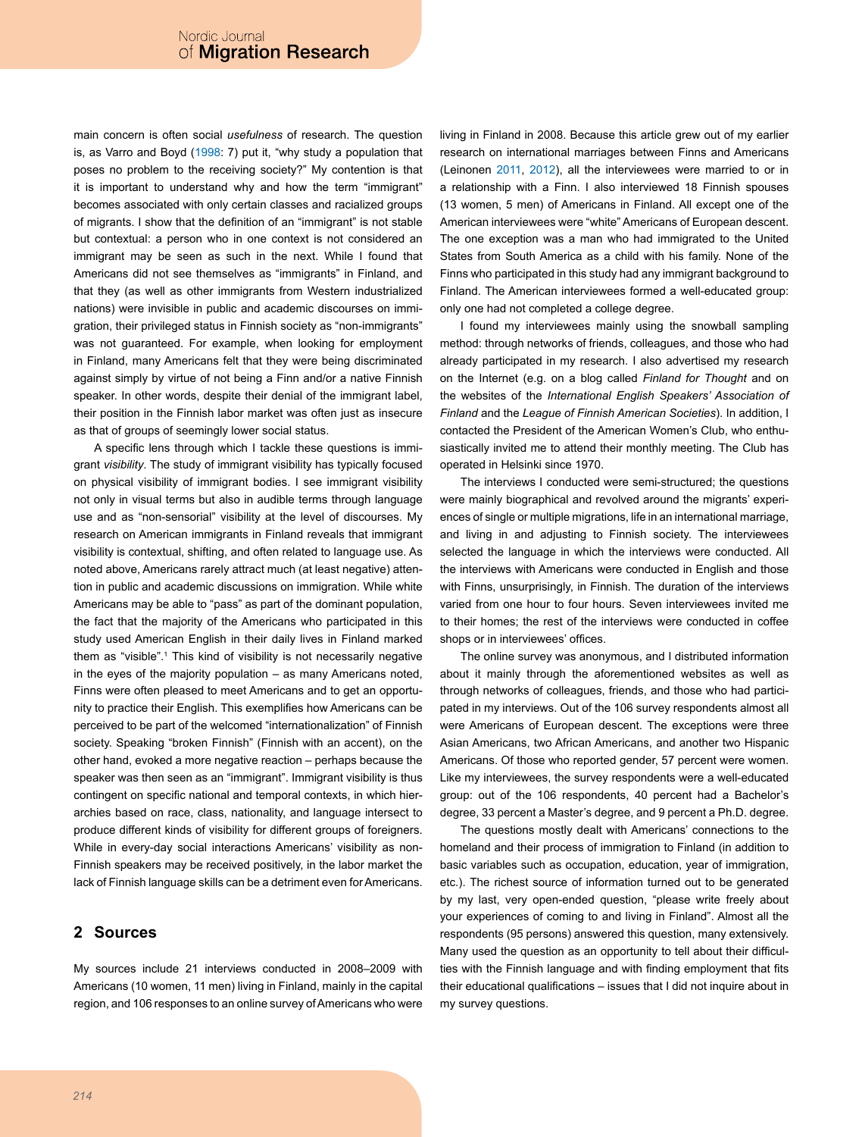main concern is often social usefulness of research. The question is, as Varro and Boyd (1998: 7) put it, "why study a population that poses no problem to the receiving society?" My contention is that it is important to understand why and how the term "immigrant" becomes associated with only certain classes and racialized groups of migrants. I show that the definition of an "immigrant" is not stable but contextual: a person who in one context is not considered an immigrant may be seen as such in the next. While I found that Americans did not see themselves as "immigrants" in Finland, and that they (as well as other immigrants from Western industrialized nations) were invisible in public and academic discourses on immigration, their privileged status in Finnish society as "non-immigrants" was not guaranteed. For example, when looking for employment in Finland, many Americans felt that they were being discriminated against simply by virtue of not being a Finn and/or a native Finnish speaker. In other words, despite their denial of the immigrant label, their position in the Finnish labor market was often just as insecure as that of groups of seemingly lower social status.

A specific lens through which I tackle these questions is immigrant visibility. The study of immigrant visibility has typically focused on physical visibility of immigrant bodies. I see immigrant visibility not only in visual terms but also in audible terms through language use and as "non-sensorial" visibility at the level of discourses. My research on American immigrants in Finland reveals that immigrant visibility is contextual, shifting, and often related to language use. As noted above, Americans rarely attract much (at least negative) attention in public and academic discussions on immigration. While white Americans may be able to "pass" as part of the dominant population, the fact that the majority of the Americans who participated in this study used American English in their daily lives in Finland marked them as "visible".<sup>1</sup> This kind of visibility is not necessarily negative in the eyes of the majority population  $-$  as many Americans noted, Finns were often pleased to meet Americans and to get an opportunity to practice their English. This exemplifies how Americans can be perceived to be part of the welcomed "internationalization" of Finnish society. Speaking "broken Finnish" (Finnish with an accent), on the other hand, evoked a more negative reaction - perhaps because the speaker was then seen as an "immigrant". Immigrant visibility is thus contingent on specific national and temporal contexts, in which hierarchies based on race, class, nationality, and language intersect to produce different kinds of visibility for different groups of foreigners. While in every-day social interactions Americans' visibility as non-Finnish speakers may be received positively, in the labor market the lack of Finnish language skills can be a detriment even for Americans.

## 2 Sources

My sources include 21 interviews conducted in 2008-2009 with Americans (10 women, 11 men) living in Finland, mainly in the capital region, and 106 responses to an online survey of Americans who were living in Finland in 2008. Because this article grew out of my earlier research on international marriages between Finns and Americans (Leinonen 2011, 2012), all the interviewees were married to or in a relationship with a Finn. I also interviewed 18 Finnish spouses (13 women, 5 men) of Americans in Finland. All except one of the American interviewees were "white" Americans of European descent. The one exception was a man who had immigrated to the United States from South America as a child with his family. None of the Finns who participated in this study had any immigrant background to Finland. The American interviewees formed a well-educated group: only one had not completed a college degree.

I found my interviewees mainly using the snowball sampling method: through networks of friends, colleagues, and those who had already participated in my research. I also advertised my research on the Internet (e.g. on a blog called Finland for Thought and on the websites of the International English Speakers' Association of Finland and the League of Finnish American Societies). In addition, I contacted the President of the American Women's Club, who enthusiastically invited me to attend their monthly meeting. The Club has operated in Helsinki since 1970.

The interviews I conducted were semi-structured; the questions were mainly biographical and revolved around the migrants' experiences of single or multiple migrations, life in an international marriage, and living in and adjusting to Finnish society. The interviewees selected the language in which the interviews were conducted. All the interviews with Americans were conducted in English and those with Finns, unsurprisingly, in Finnish. The duration of the interviews varied from one hour to four hours. Seven interviewees invited me to their homes: the rest of the interviews were conducted in coffee shops or in interviewees' offices.

The online survey was anonymous, and I distributed information about it mainly through the aforementioned websites as well as through networks of colleagues, friends, and those who had participated in my interviews. Out of the 106 survey respondents almost all were Americans of European descent. The exceptions were three Asian Americans, two African Americans, and another two Hispanic Americans. Of those who reported gender, 57 percent were women. Like my interviewees, the survey respondents were a well-educated group: out of the 106 respondents, 40 percent had a Bachelor's degree, 33 percent a Master's degree, and 9 percent a Ph.D. degree.

The questions mostly dealt with Americans' connections to the homeland and their process of immigration to Finland (in addition to basic variables such as occupation, education, year of immigration, etc.). The richest source of information turned out to be generated by my last, very open-ended question, "please write freely about your experiences of coming to and living in Finland". Almost all the respondents (95 persons) answered this question, many extensively. Many used the question as an opportunity to tell about their difficulties with the Finnish language and with finding employment that fits their educational qualifications - issues that I did not inquire about in my survey questions.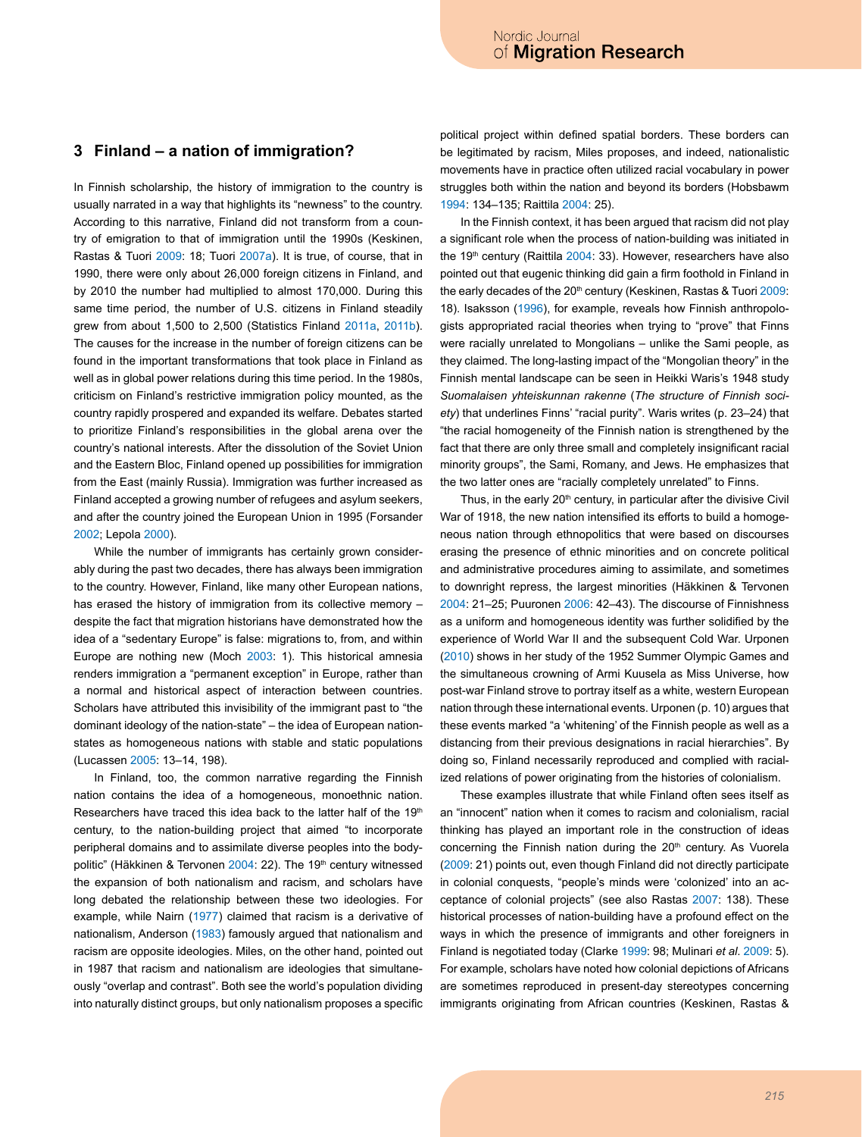#### 3 Finland – a nation of immigration?

In Finnish scholarship, the history of immigration to the country is usually narrated in a way that highlights its "newness" to the country. According to this narrative, Finland did not transform from a country of emigration to that of immigration until the 1990s (Keskinen, Rastas & Tuori 2009: 18; Tuori 2007a). It is true, of course, that in 1990, there were only about 26,000 foreign citizens in Finland, and by 2010 the number had multiplied to almost 170,000. During this same time period, the number of U.S. citizens in Finland steadily grew from about 1,500 to 2,500 (Statistics Finland 2011a, 2011b). The causes for the increase in the number of foreign citizens can be found in the important transformations that took place in Finland as well as in global power relations during this time period. In the 1980s, criticism on Finland's restrictive immigration policy mounted, as the country rapidly prospered and expanded its welfare. Debates started to prioritize Finland's responsibilities in the global arena over the country's national interests. After the dissolution of the Soviet Union and the Eastern Bloc, Finland opened up possibilities for immigration from the East (mainly Russia). Immigration was further increased as Finland accepted a growing number of refugees and asylum seekers, and after the country joined the European Union in 1995 (Forsander 2002; Lepola 2000).

While the number of immigrants has certainly grown considerably during the past two decades, there has always been immigration to the country. However, Finland, like many other European nations, has erased the history of immigration from its collective memory despite the fact that migration historians have demonstrated how the idea of a "sedentary Europe" is false: migrations to, from, and within Europe are nothing new (Moch 2003: 1). This historical amnesia renders immigration a "permanent exception" in Europe, rather than a normal and historical aspect of interaction between countries. Scholars have attributed this invisibility of the immigrant past to "the dominant ideology of the nation-state" - the idea of European nationstates as homogeneous nations with stable and static populations (Lucassen 2005: 13-14, 198).

In Finland, too, the common narrative regarding the Finnish nation contains the idea of a homogeneous, monoethnic nation. Researchers have traced this idea back to the latter half of the 19th century, to the nation-building project that aimed "to incorporate peripheral domains and to assimilate diverse peoples into the bodypolitic" (Häkkinen & Tervonen 2004: 22). The 19th century witnessed the expansion of both nationalism and racism, and scholars have long debated the relationship between these two ideologies. For example, while Nairn (1977) claimed that racism is a derivative of nationalism, Anderson (1983) famously argued that nationalism and racism are opposite ideologies. Miles, on the other hand, pointed out in 1987 that racism and nationalism are ideologies that simultaneously "overlap and contrast". Both see the world's population dividing into naturally distinct groups, but only nationalism proposes a specific

political project within defined spatial borders. These borders can be legitimated by racism. Miles proposes, and indeed, nationalistic movements have in practice often utilized racial vocabulary in power struggles both within the nation and beyond its borders (Hobsbawm 1994: 134-135; Raittila 2004: 25).

In the Finnish context, it has been argued that racism did not play a significant role when the process of nation-building was initiated in the 19<sup>th</sup> century (Raittila 2004: 33). However, researchers have also pointed out that eugenic thinking did gain a firm foothold in Finland in the early decades of the 20<sup>th</sup> century (Keskinen, Rastas & Tuori 2009: 18). Isaksson (1996), for example, reveals how Finnish anthropologists appropriated racial theories when trying to "prove" that Finns were racially unrelated to Mongolians - unlike the Sami people, as they claimed. The long-lasting impact of the "Mongolian theory" in the Finnish mental landscape can be seen in Heikki Waris's 1948 study Suomalaisen yhteiskunnan rakenne (The structure of Finnish society) that underlines Finns' "racial purity". Waris writes (p. 23-24) that "the racial homogeneity of the Finnish nation is strengthened by the fact that there are only three small and completely insignificant racial minority groups", the Sami, Romany, and Jews. He emphasizes that the two latter ones are "racially completely unrelated" to Finns.

Thus, in the early 20<sup>th</sup> century, in particular after the divisive Civil War of 1918, the new nation intensified its efforts to build a homogeneous nation through ethnopolitics that were based on discourses erasing the presence of ethnic minorities and on concrete political and administrative procedures aiming to assimilate, and sometimes to downright repress, the largest minorities (Häkkinen & Tervonen 2004: 21-25; Puuronen 2006: 42-43). The discourse of Finnishness as a uniform and homogeneous identity was further solidified by the experience of World War II and the subsequent Cold War. Urponen (2010) shows in her study of the 1952 Summer Olympic Games and the simultaneous crowning of Armi Kuusela as Miss Universe, how post-war Finland strove to portray itself as a white, western European nation through these international events. Urponen (p. 10) argues that these events marked "a 'whitening' of the Finnish people as well as a distancing from their previous designations in racial hierarchies". By doing so, Finland necessarily reproduced and complied with racialized relations of power originating from the histories of colonialism.

These examples illustrate that while Finland often sees itself as an "innocent" nation when it comes to racism and colonialism, racial thinking has played an important role in the construction of ideas concerning the Finnish nation during the 20<sup>th</sup> century. As Vuorela (2009: 21) points out, even though Finland did not directly participate in colonial conquests, "people's minds were 'colonized' into an acceptance of colonial projects" (see also Rastas 2007: 138). These historical processes of nation-building have a profound effect on the ways in which the presence of immigrants and other foreigners in Finland is negotiated today (Clarke 1999: 98; Mulinari et al. 2009: 5). For example, scholars have noted how colonial depictions of Africans are sometimes reproduced in present-day stereotypes concerning immigrants originating from African countries (Keskinen, Rastas &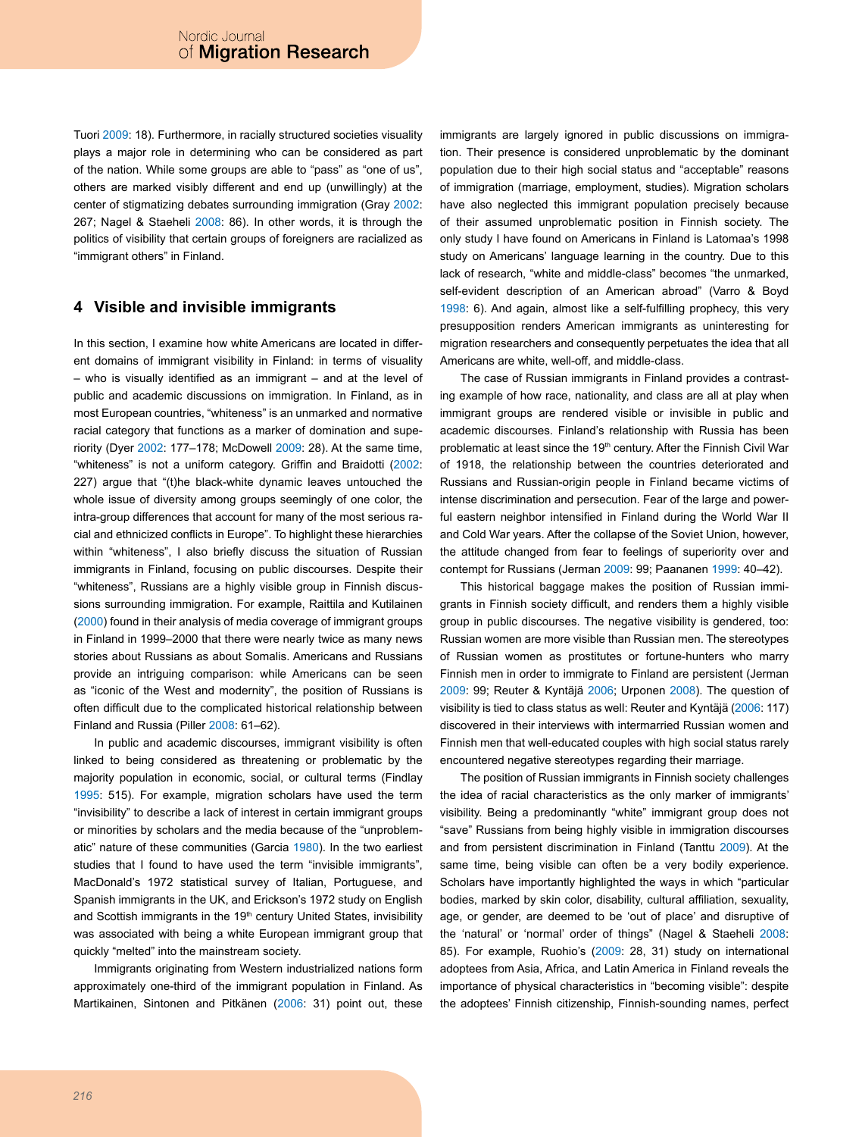Tuori 2009: 18). Furthermore, in racially structured societies visuality plays a major role in determining who can be considered as part of the nation. While some groups are able to "pass" as "one of us", others are marked visibly different and end up (unwillingly) at the center of stigmatizing debates surrounding immigration (Gray 2002: 267; Nagel & Staeheli 2008: 86). In other words, it is through the politics of visibility that certain groups of foreigners are racialized as "immigrant others" in Finland.

### 4 Visible and invisible immigrants

In this section. I examine how white Americans are located in different domains of immigrant visibility in Finland: in terms of visuality  $-$  who is visually identified as an immigrant  $-$  and at the level of public and academic discussions on immigration. In Finland, as in most European countries, "whiteness" is an unmarked and normative racial category that functions as a marker of domination and superiority (Dyer 2002: 177-178; McDowell 2009: 28). At the same time, "whiteness" is not a uniform category. Griffin and Braidotti (2002: 227) argue that "(t)he black-white dynamic leaves untouched the whole issue of diversity among groups seemingly of one color, the intra-group differences that account for many of the most serious racial and ethnicized conflicts in Europe". To highlight these hierarchies within "whiteness", I also briefly discuss the situation of Russian immigrants in Finland, focusing on public discourses. Despite their "whiteness", Russians are a highly visible group in Finnish discussions surrounding immigration. For example, Raittila and Kutilainen (2000) found in their analysis of media coverage of immigrant groups in Finland in 1999-2000 that there were nearly twice as many news stories about Russians as about Somalis. Americans and Russians provide an intriguing comparison: while Americans can be seen as "iconic of the West and modernity", the position of Russians is often difficult due to the complicated historical relationship between Finland and Russia (Piller 2008: 61-62).

In public and academic discourses, immigrant visibility is often linked to being considered as threatening or problematic by the majority population in economic, social, or cultural terms (Findlay 1995: 515). For example, migration scholars have used the term "invisibility" to describe a lack of interest in certain immigrant groups or minorities by scholars and the media because of the "unproblematic" nature of these communities (Garcia 1980). In the two earliest studies that I found to have used the term "invisible immigrants". MacDonald's 1972 statistical survey of Italian, Portuguese, and Spanish immigrants in the UK, and Erickson's 1972 study on English and Scottish immigrants in the 19<sup>th</sup> century United States, invisibility was associated with being a white European immigrant group that quickly "melted" into the mainstream society.

Immigrants originating from Western industrialized nations form approximately one-third of the immigrant population in Finland. As Martikainen, Sintonen and Pitkänen (2006: 31) point out, these immigrants are largely ignored in public discussions on immigration. Their presence is considered unproblematic by the dominant population due to their high social status and "acceptable" reasons of immigration (marriage, employment, studies). Migration scholars have also neglected this immigrant population precisely because of their assumed unproblematic position in Finnish society. The only study I have found on Americans in Finland is Latomaa's 1998 study on Americans' language learning in the country. Due to this lack of research, "white and middle-class" becomes "the unmarked, self-evident description of an American abroad" (Varro & Boyd 1998: 6). And again, almost like a self-fulfilling prophecy, this very presupposition renders American immigrants as uninteresting for migration researchers and consequently perpetuates the idea that all Americans are white, well-off, and middle-class.

The case of Russian immigrants in Finland provides a contrasting example of how race, nationality, and class are all at play when immigrant groups are rendered visible or invisible in public and academic discourses. Finland's relationship with Russia has been problematic at least since the 19<sup>th</sup> century. After the Finnish Civil War of 1918, the relationship between the countries deteriorated and Russians and Russian-origin people in Finland became victims of intense discrimination and persecution. Fear of the large and powerful eastern neighbor intensified in Finland during the World War II and Cold War years. After the collapse of the Soviet Union, however, the attitude changed from fear to feelings of superiority over and contempt for Russians (Jerman 2009: 99; Paananen 1999: 40-42).

This historical baggage makes the position of Russian immigrants in Finnish society difficult, and renders them a highly visible group in public discourses. The negative visibility is gendered, too: Russian women are more visible than Russian men. The stereotypes of Russian women as prostitutes or fortune-hunters who marry Finnish men in order to immigrate to Finland are persistent (Jerman 2009: 99; Reuter & Kyntäjä 2006; Urponen 2008). The question of visibility is tied to class status as well: Reuter and Kyntäjä (2006: 117) discovered in their interviews with intermarried Russian women and Finnish men that well-educated couples with high social status rarely encountered negative stereotypes regarding their marriage.

The position of Russian immigrants in Finnish society challenges the idea of racial characteristics as the only marker of immigrants' visibility. Being a predominantly "white" immigrant group does not "save" Russians from being highly visible in immigration discourses and from persistent discrimination in Finland (Tanttu 2009). At the same time, being visible can often be a very bodily experience. Scholars have importantly highlighted the ways in which "particular bodies, marked by skin color, disability, cultural affiliation, sexuality, age, or gender, are deemed to be 'out of place' and disruptive of the 'natural' or 'normal' order of things" (Nagel & Staeheli 2008: 85). For example, Ruohio's (2009: 28, 31) study on international adoptees from Asia, Africa, and Latin America in Finland reveals the importance of physical characteristics in "becoming visible": despite the adoptees' Finnish citizenship, Finnish-sounding names, perfect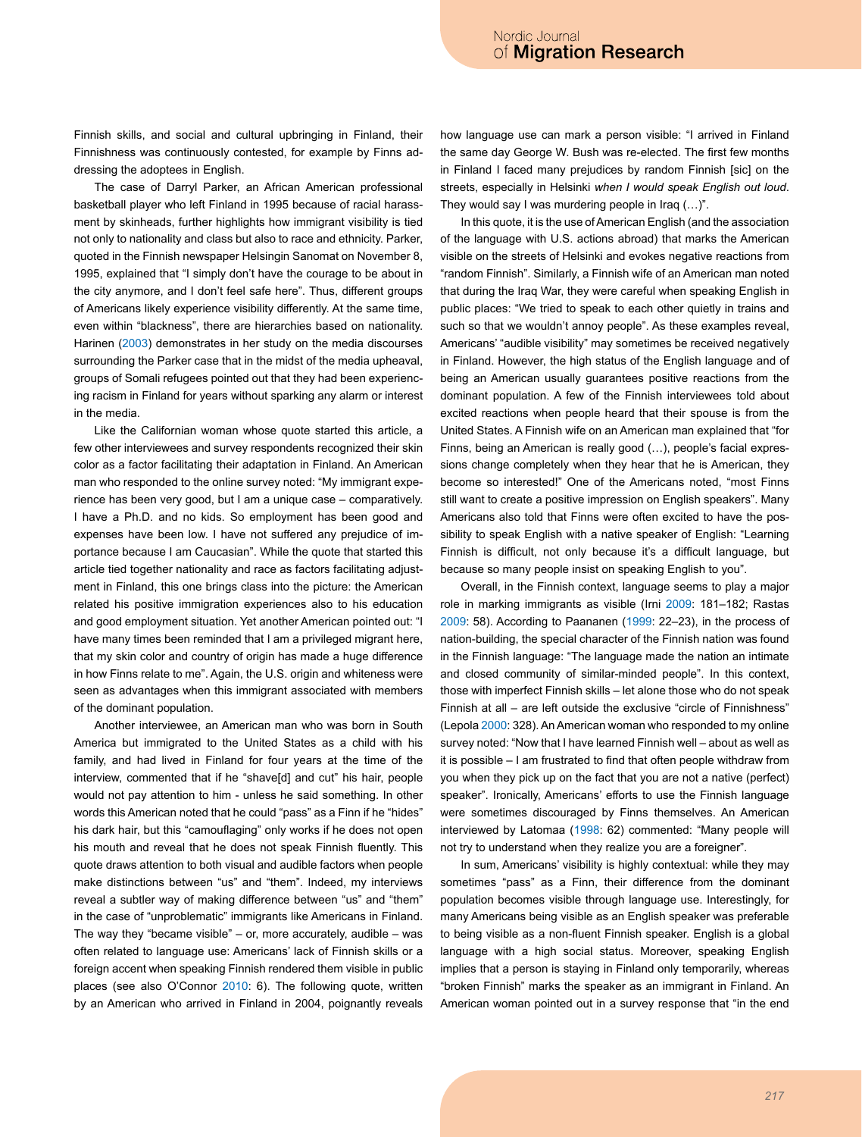Finnish skills, and social and cultural upbringing in Finland, their Finnishness was continuously contested, for example by Finns addressing the adoptees in English.

The case of Darryl Parker, an African American professional basketball player who left Finland in 1995 because of racial harassment by skinheads, further highlights how immigrant visibility is tied not only to nationality and class but also to race and ethnicity. Parker, quoted in the Finnish newspaper Helsingin Sanomat on November 8, 1995, explained that "I simply don't have the courage to be about in the city anymore, and I don't feel safe here". Thus, different groups of Americans likely experience visibility differently. At the same time, even within "blackness", there are hierarchies based on nationality. Harinen (2003) demonstrates in her study on the media discourses surrounding the Parker case that in the midst of the media upheaval. groups of Somali refugees pointed out that they had been experiencing racism in Finland for years without sparking any alarm or interest in the media.

Like the Californian woman whose quote started this article, a few other interviewees and survey respondents recognized their skin color as a factor facilitating their adaptation in Finland. An American man who responded to the online survey noted: "My immigrant experience has been very good, but I am a unique case - comparatively. I have a Ph.D. and no kids. So employment has been good and expenses have been low. I have not suffered any prejudice of importance because I am Caucasian". While the quote that started this article tied together nationality and race as factors facilitating adjustment in Finland, this one brings class into the picture: the American related his positive immigration experiences also to his education and good employment situation. Yet another American pointed out: "I have many times been reminded that I am a privileged migrant here, that my skin color and country of origin has made a huge difference in how Finns relate to me". Again, the U.S. origin and whiteness were seen as advantages when this immigrant associated with members of the dominant population.

Another interviewee, an American man who was born in South America but immigrated to the United States as a child with his family, and had lived in Finland for four years at the time of the interview, commented that if he "shave[d] and cut" his hair, people would not pay attention to him - unless he said something. In other words this American noted that he could "pass" as a Finn if he "hides" his dark hair, but this "camouflaging" only works if he does not open his mouth and reveal that he does not speak Finnish fluently. This quote draws attention to both visual and audible factors when people make distinctions between "us" and "them". Indeed, my interviews reveal a subtler way of making difference between "us" and "them" in the case of "unproblematic" immigrants like Americans in Finland. The way they "became visible"  $-$  or, more accurately, audible  $-$  was often related to language use: Americans' lack of Finnish skills or a foreign accent when speaking Finnish rendered them visible in public places (see also O'Connor 2010: 6). The following quote, written by an American who arrived in Finland in 2004, poignantly reveals

how language use can mark a person visible: "I arrived in Finland the same day George W. Bush was re-elected. The first few months in Finland I faced many prejudices by random Finnish [sic] on the streets, especially in Helsinki when I would speak English out loud. They would say I was murdering people in Iraq (...)".

In this quote, it is the use of American English (and the association of the language with U.S. actions abroad) that marks the American visible on the streets of Helsinki and evokes negative reactions from "random Finnish". Similarly, a Finnish wife of an American man noted that during the Iraq War, they were careful when speaking English in public places: "We tried to speak to each other quietly in trains and such so that we wouldn't annoy people". As these examples reveal, Americans' "audible visibility" may sometimes be received negatively in Finland. However, the high status of the English language and of being an American usually guarantees positive reactions from the dominant population. A few of the Finnish interviewees told about excited reactions when people heard that their spouse is from the United States. A Finnish wife on an American man explained that "for Finns, being an American is really good (...), people's facial expressions change completely when they hear that he is American, they become so interested!" One of the Americans noted, "most Finns still want to create a positive impression on English speakers". Many Americans also told that Finns were often excited to have the possibility to speak English with a native speaker of English: "Learning Finnish is difficult, not only because it's a difficult language, but because so many people insist on speaking English to you".

Overall, in the Finnish context, language seems to play a major role in marking immigrants as visible (Irni 2009: 181-182; Rastas 2009: 58). According to Paananen (1999: 22-23), in the process of nation-building, the special character of the Finnish nation was found in the Finnish language: "The language made the nation an intimate and closed community of similar-minded people". In this context, those with imperfect Finnish skills - let alone those who do not speak Finnish at all - are left outside the exclusive "circle of Finnishness" (Lepola 2000: 328). An American woman who responded to my online survey noted: "Now that I have learned Finnish well - about as well as it is possible - I am frustrated to find that often people withdraw from you when they pick up on the fact that you are not a native (perfect) speaker". Ironically, Americans' efforts to use the Finnish language were sometimes discouraged by Finns themselves. An American interviewed by Latomaa (1998: 62) commented: "Many people will not try to understand when they realize you are a foreigner".

In sum, Americans' visibility is highly contextual: while they may sometimes "pass" as a Finn, their difference from the dominant population becomes visible through language use. Interestingly, for many Americans being visible as an English speaker was preferable to being visible as a non-fluent Finnish speaker. English is a global language with a high social status. Moreover, speaking English implies that a person is staying in Finland only temporarily, whereas "broken Finnish" marks the speaker as an immigrant in Finland. An American woman pointed out in a survey response that "in the end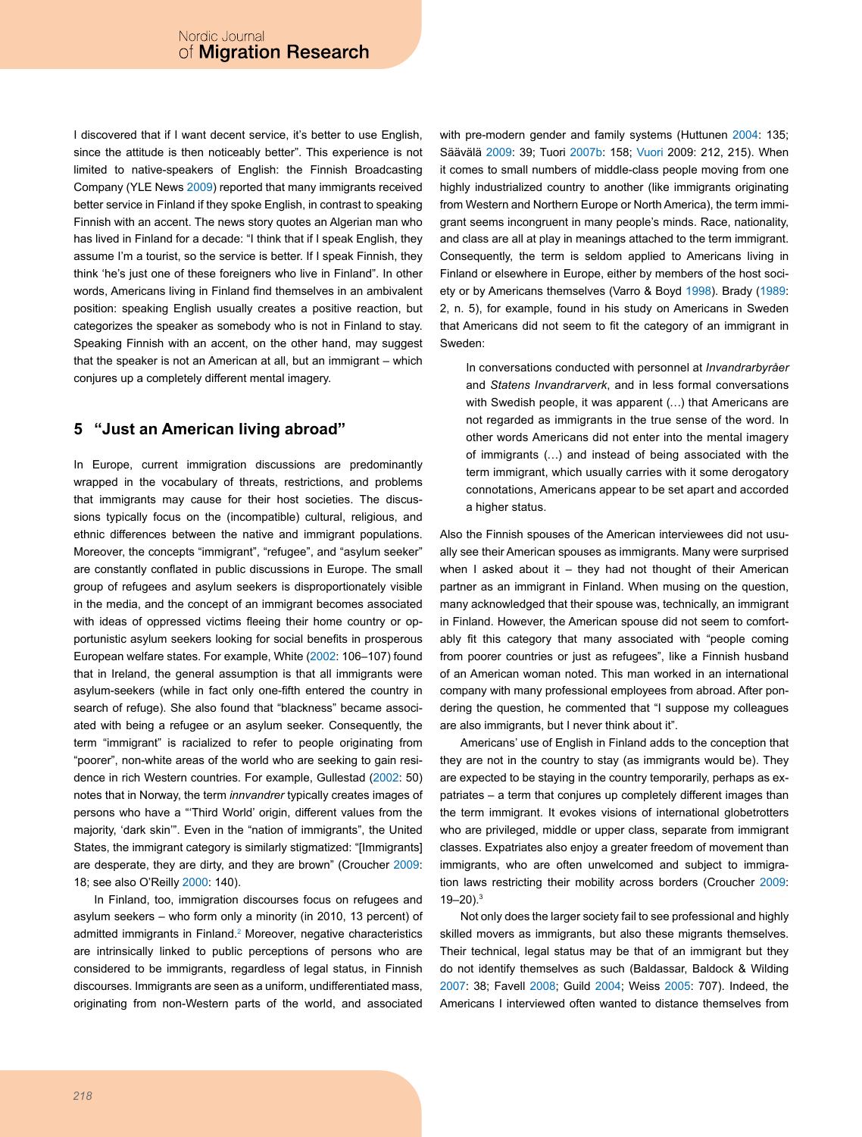I discovered that if I want decent service, it's better to use English, since the attitude is then noticeably better". This experience is not limited to native-speakers of English: the Finnish Broadcasting Company (YLE News 2009) reported that many immigrants received better service in Finland if they spoke English, in contrast to speaking Finnish with an accent. The news story quotes an Algerian man who has lived in Finland for a decade: "I think that if I speak English, they assume I'm a tourist, so the service is better. If I speak Finnish, they think 'he's just one of these foreigners who live in Finland". In other words, Americans living in Finland find themselves in an ambivalent position: speaking English usually creates a positive reaction, but categorizes the speaker as somebody who is not in Finland to stay. Speaking Finnish with an accent, on the other hand, may suggest that the speaker is not an American at all, but an immigrant – which conjures up a completely different mental imagery.

#### 5 "Just an American living abroad"

In Europe, current immigration discussions are predominantly wrapped in the vocabulary of threats, restrictions, and problems that immigrants may cause for their host societies. The discussions typically focus on the (incompatible) cultural, religious, and ethnic differences between the native and immigrant populations. Moreover, the concepts "immigrant", "refugee", and "asylum seeker" are constantly conflated in public discussions in Europe. The small group of refugees and asylum seekers is disproportionately visible in the media, and the concept of an immigrant becomes associated with ideas of oppressed victims fleeing their home country or opportunistic asylum seekers looking for social benefits in prosperous European welfare states. For example, White (2002: 106-107) found that in Ireland, the general assumption is that all immigrants were asylum-seekers (while in fact only one-fifth entered the country in search of refuge). She also found that "blackness" became associated with being a refugee or an asylum seeker. Consequently, the term "immigrant" is racialized to refer to people originating from "poorer", non-white areas of the world who are seeking to gain residence in rich Western countries. For example, Gullestad (2002: 50) notes that in Norway, the term innvandrer typically creates images of persons who have a "Third World' origin, different values from the majority, 'dark skin'". Even in the "nation of immigrants", the United States, the immigrant category is similarly stigmatized: "[Immigrants] are desperate, they are dirty, and they are brown" (Croucher 2009: 18; see also O'Reilly 2000: 140).

In Finland, too, immigration discourses focus on refugees and asylum seekers - who form only a minority (in 2010, 13 percent) of admitted immigrants in Finland.<sup>2</sup> Moreover, negative characteristics are intrinsically linked to public perceptions of persons who are considered to be immigrants, regardless of legal status, in Finnish discourses. Immigrants are seen as a uniform, undifferentiated mass, originating from non-Western parts of the world, and associated with pre-modern gender and family systems (Huttunen 2004: 135; Säävälä 2009: 39: Tuori 2007b: 158: Vuori 2009: 212. 215). When it comes to small numbers of middle-class people moving from one highly industrialized country to another (like immigrants originating from Western and Northern Europe or North America), the term immigrant seems incongruent in many people's minds. Race, nationality, and class are all at play in meanings attached to the term immigrant. Consequently, the term is seldom applied to Americans living in Finland or elsewhere in Europe, either by members of the host society or by Americans themselves (Varro & Boyd 1998). Brady (1989: 2, n. 5), for example, found in his study on Americans in Sweden that Americans did not seem to fit the category of an immigrant in Sweden:

In conversations conducted with personnel at Invandrarbyråer and Statens Invandrarverk, and in less formal conversations with Swedish people, it was apparent (...) that Americans are not regarded as immigrants in the true sense of the word. In other words Americans did not enter into the mental imagery of immigrants (...) and instead of being associated with the term immigrant, which usually carries with it some derogatory connotations, Americans appear to be set apart and accorded a higher status.

Also the Finnish spouses of the American interviewees did not usually see their American spouses as immigrants. Many were surprised when I asked about it  $-$  they had not thought of their American partner as an immigrant in Finland. When musing on the question, many acknowledged that their spouse was, technically, an immigrant in Finland. However, the American spouse did not seem to comfortably fit this category that many associated with "people coming from poorer countries or just as refugees", like a Finnish husband of an American woman noted. This man worked in an international company with many professional employees from abroad. After pondering the question, he commented that "I suppose my colleagues are also immigrants, but I never think about it".

Americans' use of English in Finland adds to the conception that they are not in the country to stay (as immigrants would be). They are expected to be staying in the country temporarily, perhaps as expatriates - a term that conjures up completely different images than the term immigrant. It evokes visions of international globetrotters who are privileged, middle or upper class, separate from immigrant classes. Expatriates also enjoy a greater freedom of movement than immigrants, who are often unwelcomed and subject to immigration laws restricting their mobility across borders (Croucher 2009:  $19 - 20$ ).<sup>3</sup>

Not only does the larger society fail to see professional and highly skilled movers as immigrants, but also these migrants themselves. Their technical, legal status may be that of an immigrant but they do not identify themselves as such (Baldassar, Baldock & Wilding 2007: 38; Favell 2008; Guild 2004; Weiss 2005: 707). Indeed, the Americans I interviewed often wanted to distance themselves from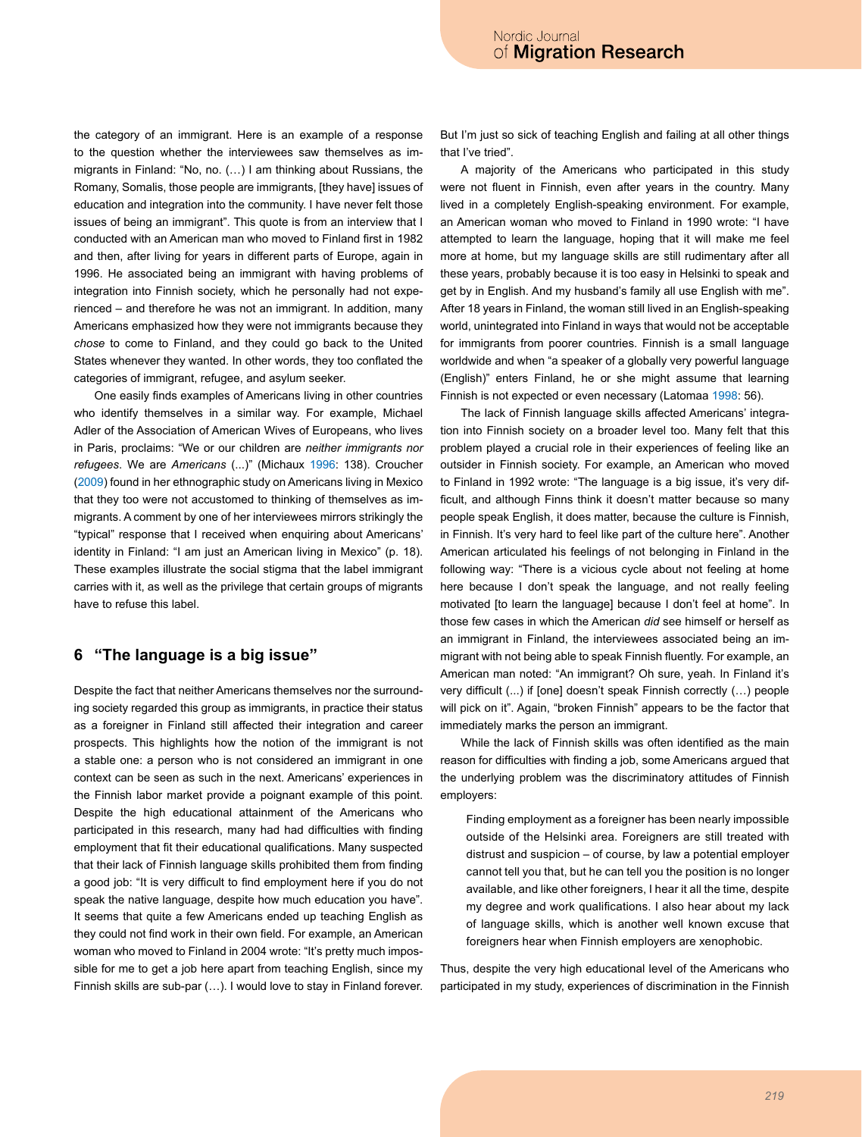the category of an immigrant. Here is an example of a response to the question whether the interviewees saw themselves as immigrants in Finland: "No, no. (...) I am thinking about Russians, the Romany, Somalis, those people are immigrants, [they have] issues of education and integration into the community. I have never felt those issues of being an immigrant". This quote is from an interview that I conducted with an American man who moved to Finland first in 1982 and then, after living for years in different parts of Europe, again in 1996. He associated being an immigrant with having problems of integration into Finnish society, which he personally had not experienced - and therefore he was not an immigrant. In addition, many Americans emphasized how they were not immigrants because they chose to come to Finland, and they could go back to the United States whenever they wanted. In other words, they too conflated the categories of immigrant, refugee, and asylum seeker.

One easily finds examples of Americans living in other countries who identify themselves in a similar way. For example, Michael Adler of the Association of American Wives of Europeans, who lives in Paris, proclaims: "We or our children are neither immigrants nor refugees. We are Americans (...)" (Michaux 1996: 138). Croucher (2009) found in her ethnographic study on Americans living in Mexico that they too were not accustomed to thinking of themselves as immigrants. A comment by one of her interviewees mirrors strikingly the "typical" response that I received when enquiring about Americans' identity in Finland: "I am just an American living in Mexico" (p. 18). These examples illustrate the social stigma that the label immigrant carries with it, as well as the privilege that certain groups of migrants have to refuse this label.

# 6 "The language is a big issue"

Despite the fact that neither Americans themselves nor the surrounding society regarded this group as immigrants, in practice their status as a foreigner in Finland still affected their integration and career prospects. This highlights how the notion of the immigrant is not a stable one: a person who is not considered an immigrant in one context can be seen as such in the next. Americans' experiences in the Finnish labor market provide a poignant example of this point. Despite the high educational attainment of the Americans who participated in this research, many had had difficulties with finding employment that fit their educational qualifications. Many suspected that their lack of Finnish language skills prohibited them from finding a good job: "It is very difficult to find employment here if you do not speak the native language, despite how much education you have". It seems that quite a few Americans ended up teaching English as they could not find work in their own field. For example, an American woman who moved to Finland in 2004 wrote: "It's pretty much impossible for me to get a job here apart from teaching English, since my Finnish skills are sub-par (...). I would love to stay in Finland forever. But I'm just so sick of teaching English and failing at all other things that I've tried".

A majority of the Americans who participated in this study were not fluent in Finnish, even after years in the country. Many lived in a completely English-speaking environment. For example, an American woman who moved to Finland in 1990 wrote: "I have attempted to learn the language, hoping that it will make me feel more at home, but my language skills are still rudimentary after all these years, probably because it is too easy in Helsinki to speak and get by in English. And my husband's family all use English with me". After 18 years in Finland, the woman still lived in an English-speaking world, unintegrated into Finland in ways that would not be acceptable for immigrants from poorer countries. Finnish is a small language worldwide and when "a speaker of a globally very powerful language (English)" enters Finland, he or she might assume that learning Finnish is not expected or even necessary (Latomaa 1998: 56).

The lack of Finnish language skills affected Americans' integration into Finnish society on a broader level too. Many felt that this problem played a crucial role in their experiences of feeling like an outsider in Finnish society. For example, an American who moved to Finland in 1992 wrote: "The language is a big issue, it's very difficult, and although Finns think it doesn't matter because so many people speak English, it does matter, because the culture is Finnish, in Finnish. It's very hard to feel like part of the culture here". Another American articulated his feelings of not belonging in Finland in the following way: "There is a vicious cycle about not feeling at home here because I don't speak the language, and not really feeling motivated [to learn the language] because I don't feel at home". In those few cases in which the American did see himself or herself as an immigrant in Finland, the interviewees associated being an immigrant with not being able to speak Finnish fluently. For example, an American man noted: "An immigrant? Oh sure, yeah. In Finland it's very difficult (...) if [one] doesn't speak Finnish correctly (...) people will pick on it". Again, "broken Finnish" appears to be the factor that immediately marks the person an immigrant.

While the lack of Finnish skills was often identified as the main reason for difficulties with finding a job, some Americans argued that the underlying problem was the discriminatory attitudes of Finnish employers:

Finding employment as a foreigner has been nearly impossible outside of the Helsinki area. Foreigners are still treated with distrust and suspicion - of course, by law a potential employer cannot tell you that, but he can tell you the position is no longer available, and like other foreigners, I hear it all the time, despite my degree and work qualifications. I also hear about my lack of language skills, which is another well known excuse that foreigners hear when Finnish employers are xenophobic.

Thus, despite the very high educational level of the Americans who participated in my study, experiences of discrimination in the Finnish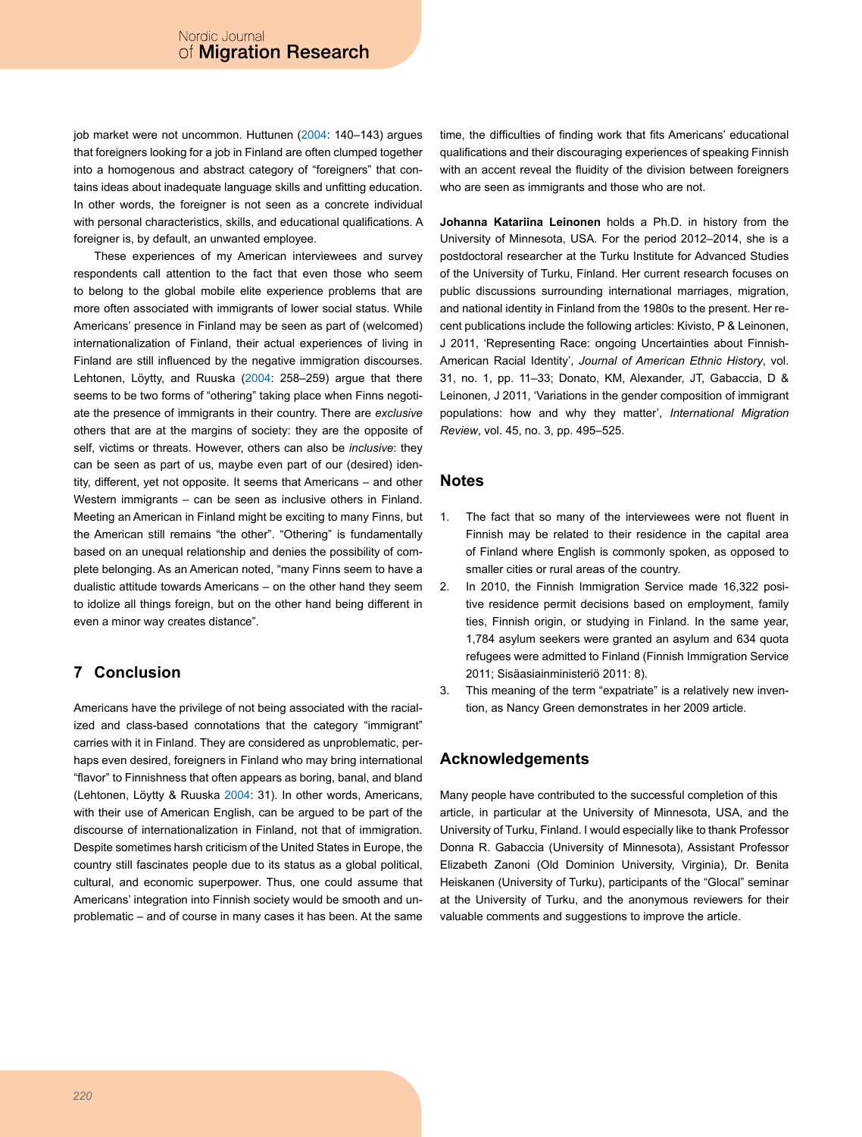job market were not uncommon. Huttunen (2004: 140-143) argues that foreigners looking for a job in Finland are often clumped together into a homogenous and abstract category of "foreigners" that contains ideas about inadequate language skills and unfitting education. In other words, the foreigner is not seen as a concrete individual with personal characteristics, skills, and educational qualifications. A foreigner is, by default, an unwanted employee.

These experiences of my American interviewees and survey respondents call attention to the fact that even those who seem to belong to the global mobile elite experience problems that are more often associated with immigrants of lower social status. While Americans' presence in Finland may be seen as part of (welcomed) internationalization of Finland, their actual experiences of living in Finland are still influenced by the negative immigration discourses. Lehtonen, Löytty, and Ruuska (2004: 258-259) argue that there seems to be two forms of "othering" taking place when Finns negotiate the presence of immigrants in their country. There are exclusive others that are at the margins of society: they are the opposite of self, victims or threats. However, others can also be inclusive: they can be seen as part of us, maybe even part of our (desired) identity, different, yet not opposite. It seems that Americans - and other Western immigrants - can be seen as inclusive others in Finland. Meeting an American in Finland might be exciting to many Finns, but the American still remains "the other". "Othering" is fundamentally based on an unequal relationship and denies the possibility of complete belonging. As an American noted, "many Finns seem to have a dualistic attitude towards Americans - on the other hand they seem to idolize all things foreign, but on the other hand being different in even a minor way creates distance".

# 7 Conclusion

Americans have the privilege of not being associated with the racialized and class-based connotations that the category "immigrant" carries with it in Finland. They are considered as unproblematic, perhaps even desired, foreigners in Finland who may bring international "flavor" to Finnishness that often appears as boring, banal, and bland (Lehtonen, Löytty & Ruuska 2004: 31). In other words, Americans, with their use of American English, can be argued to be part of the discourse of internationalization in Finland, not that of immigration. Despite sometimes harsh criticism of the United States in Europe, the country still fascinates people due to its status as a global political. cultural, and economic superpower. Thus, one could assume that Americans' integration into Finnish society would be smooth and unproblematic - and of course in many cases it has been. At the same time, the difficulties of finding work that fits Americans' educational qualifications and their discouraging experiences of speaking Finnish with an accent reveal the fluidity of the division between foreigners who are seen as immigrants and those who are not.

Johanna Katariina Leinonen holds a Ph.D. in history from the University of Minnesota, USA. For the period 2012-2014, she is a postdoctoral researcher at the Turku Institute for Advanced Studies of the University of Turku, Finland. Her current research focuses on public discussions surrounding international marriages, migration, and national identity in Finland from the 1980s to the present. Her recent publications include the following articles: Kivisto, P & Leinonen, J 2011, 'Representing Race: ongoing Uncertainties about Finnish-American Racial Identity', Journal of American Ethnic History, vol. 31, no. 1, pp. 11-33; Donato, KM, Alexander, JT, Gabaccia, D & Leinonen, J 2011, 'Variations in the gender composition of immigrant populations: how and why they matter', International Migration Review, vol. 45, no. 3, pp. 495-525.

### **Notes**

- $\mathbf{1}$ The fact that so many of the interviewees were not fluent in Finnish may be related to their residence in the capital area of Finland where English is commonly spoken, as opposed to smaller cities or rural areas of the country.
- $2.$ In 2010, the Finnish Immigration Service made 16,322 positive residence permit decisions based on employment, family ties, Finnish origin, or studying in Finland. In the same year, 1,784 asylum seekers were granted an asylum and 634 quota refugees were admitted to Finland (Finnish Immigration Service 2011; Sisäasiainministeriö 2011: 8).
- This meaning of the term "expatriate" is a relatively new inven-3. tion, as Nancy Green demonstrates in her 2009 article.

### **Acknowledgements**

Many people have contributed to the successful completion of this article, in particular at the University of Minnesota, USA, and the University of Turku, Finland. I would especially like to thank Professor Donna R. Gabaccia (University of Minnesota), Assistant Professor Elizabeth Zanoni (Old Dominion University, Virginia). Dr. Benita Heiskanen (University of Turku), participants of the "Glocal" seminar at the University of Turku, and the anonymous reviewers for their valuable comments and suggestions to improve the article.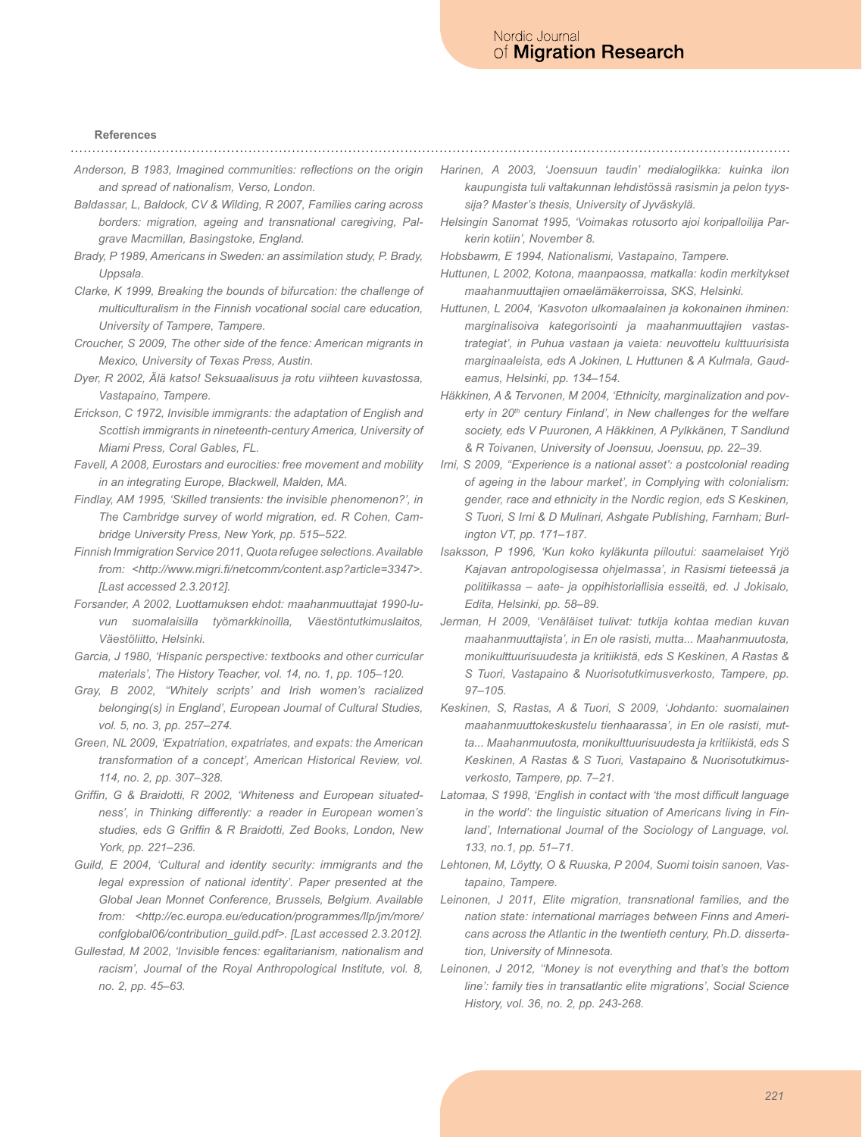#### **References**

- Anderson, B 1983, Imagined communities: reflections on the origin and spread of nationalism, Verso, London.
- Baldassar, L, Baldock, CV & Wilding, R 2007, Families caring across borders: migration, ageing and transnational caregiving, Palgrave Macmillan, Basingstoke, England.
- Brady, P 1989, Americans in Sweden: an assimilation study, P. Brady, Uppsala
- Clarke, K 1999, Breaking the bounds of bifurcation: the challenge of multiculturalism in the Finnish vocational social care education, University of Tampere, Tampere.
- Croucher, S 2009, The other side of the fence: American migrants in Mexico. University of Texas Press. Austin.
- Dyer, R 2002, Älä katso! Seksuaalisuus ja rotu viihteen kuvastossa, Vastapaino, Tampere.
- Erickson, C 1972, Invisible immigrants: the adaptation of English and Scottish immigrants in nineteenth-century America, University of Miami Press, Coral Gables, FL.
- Favell, A 2008, Eurostars and eurocities: free movement and mobility in an integrating Europe, Blackwell, Malden, MA.
- Findlay, AM 1995, 'Skilled transients: the invisible phenomenon?', in The Cambridge survey of world migration, ed. R Cohen, Cambridge University Press, New York, pp. 515-522.
- Finnish Immigration Service 2011, Quota refugee selections. Available from: <http://www.migri.fi/netcomm/content.asp?article=3347>. [Last accessed 2.3.2012].
- Forsander, A 2002, Luottamuksen ehdot: maahanmuuttajat 1990-luvun suomalaisilla työmarkkinoilla, Väestöntutkimuslaitos, Väestöliitto, Helsinki.
- Garcia, J 1980, 'Hispanic perspective: textbooks and other curricular materials', The History Teacher, vol. 14, no. 1, pp. 105-120.
- Gray, B 2002, "Whitely scripts' and Irish women's racialized belonging(s) in England', European Journal of Cultural Studies, vol. 5, no. 3, pp. 257-274.
- Green, NL 2009, 'Expatriation, expatriates, and expats: the American transformation of a concept', American Historical Review, vol. 114, no. 2, pp. 307-328.
- Griffin, G & Braidotti, R 2002, 'Whiteness and European situatedness', in Thinking differently: a reader in European women's studies, eds G Griffin & R Braidotti, Zed Books, London, New York, pp. 221-236.
- Guild. E 2004. 'Cultural and identity security: immigrants and the legal expression of national identity'. Paper presented at the Global Jean Monnet Conference, Brussels, Belgium. Available from: <http://ec.europa.eu/education/programmes/llp/jm/more/ confglobal06/contribution\_guild.pdf>. [Last accessed 2.3.2012].
- Gullestad, M 2002, 'Invisible fences: egalitarianism, nationalism and racism', Journal of the Royal Anthropological Institute, vol. 8, no. 2, pp. 45-63.
- Harinen, A 2003, 'Joensuun taudin' medialogiikka: kuinka ilon kaupungista tuli valtakunnan lehdistössä rasismin ja pelon tyyssija? Master's thesis, University of Jyväskylä.
- Helsingin Sanomat 1995, 'Voimakas rotusorto ajoi koripalloilija Parkerin kotiin', November 8.
- Hobsbawm, E 1994, Nationalismi, Vastapaino, Tampere.

- Huttunen, L 2002, Kotona, maanpaossa, matkalla: kodin merkitykset maahanmuuttajien omaelämäkerroissa, SKS, Helsinki.
- Huttunen, L 2004, 'Kasvoton ulkomaalainen ja kokonainen ihminen: marginalisoiva kategorisointi ja maahanmuuttajien vastastrategiat', in Puhua vastaan ja vaieta: neuvottelu kulttuurisista marginaaleista, eds A Jokinen, L Huttunen & A Kulmala, Gaudeamus, Helsinki, pp. 134-154.
- Häkkinen, A & Tervonen, M 2004, 'Ethnicity, marginalization and poverty in 20th century Finland', in New challenges for the welfare society, eds V Puuronen, A Häkkinen, A Pylkkänen, T Sandlund & R Toivanen, University of Joensuu, Joensuu, pp. 22-39.
- Irni, S 2009, "Experience is a national asset": a postcolonial reading of ageing in the labour market', in Complying with colonialism: gender, race and ethnicity in the Nordic region, eds S Keskinen, S Tuori, S Irni & D Mulinari, Ashgate Publishing, Farnham; Burlington VT, pp. 171-187.
- Isaksson, P 1996, 'Kun koko kyläkunta piiloutui: saamelaiset Yrjö Kajavan antropologisessa ohjelmassa', in Rasismi tieteessä ja politiikassa - aate- ja oppihistoriallisia esseitä, ed. J Jokisalo, Edita, Helsinki, pp. 58-89.
- Jerman, H 2009, 'Venäläiset tulivat: tutkija kohtaa median kuvan maahanmuuttajista', in En ole rasisti, mutta... Maahanmuutosta, monikulttuurisuudesta ja kritiikistä, eds S Keskinen, A Rastas & S Tuori, Vastapaino & Nuorisotutkimusverkosto, Tampere, pp.  $97 - 105$
- Keskinen, S, Rastas, A & Tuori, S 2009, 'Johdanto: suomalainen maahanmuuttokeskustelu tienhaarassa', in En ole rasisti, mutta... Maahanmuutosta, monikulttuurisuudesta ja kritiikistä, eds S Keskinen, A Rastas & S Tuori, Vastapaino & Nuorisotutkimusverkosto, Tampere, pp. 7-21.
- Latomaa, S 1998, 'English in contact with 'the most difficult language in the world': the linguistic situation of Americans living in Finland', International Journal of the Sociology of Language, vol. 133, no.1, pp. 51-71.
- Lehtonen, M, Löytty, O & Ruuska, P 2004, Suomi toisin sanoen, Vastapaino, Tampere
- Leinonen, J 2011, Elite migration, transnational families, and the nation state: international marriages between Finns and Americans across the Atlantic in the twentieth century, Ph.D. dissertation, University of Minnesota.
- Leinonen, J 2012, "Money is not everything and that's the bottom line': family ties in transatlantic elite migrations', Social Science History, vol. 36, no. 2, pp. 243-268.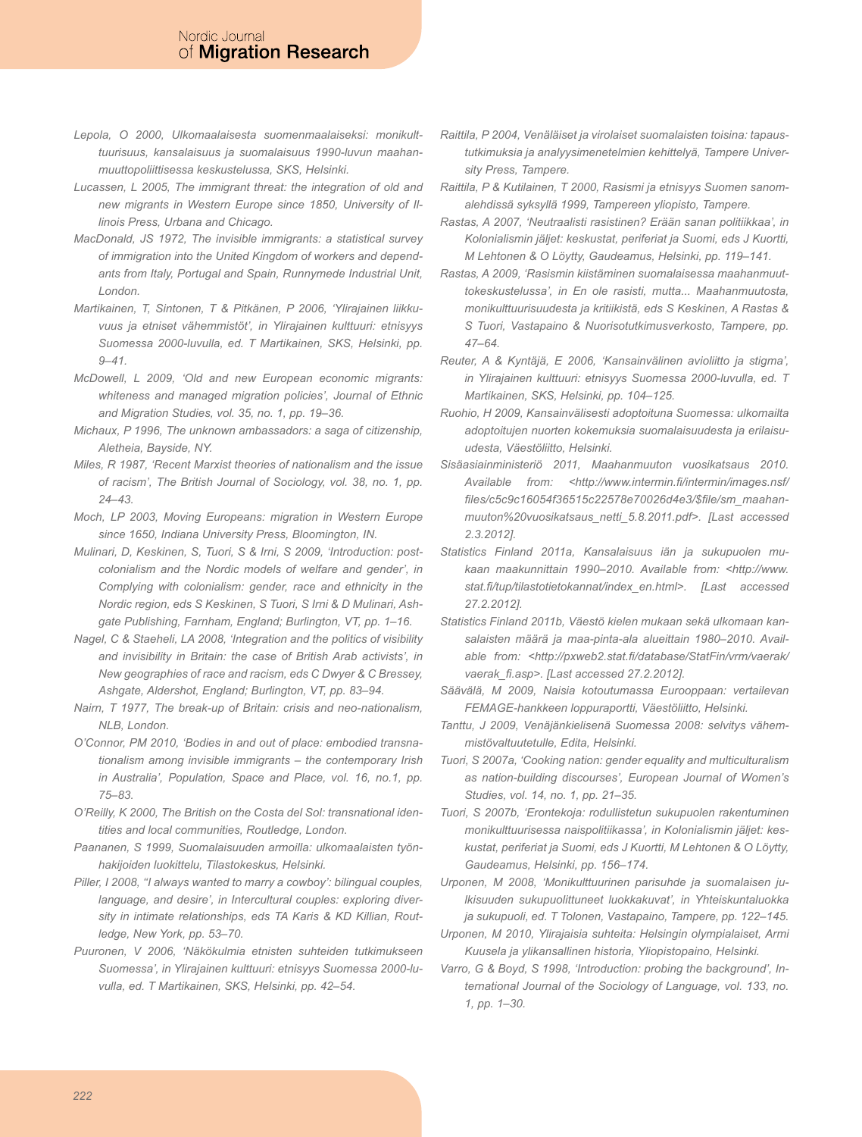- Lepola, O 2000, Ulkomaalaisesta suomenmaalaiseksi: monikulttuurisuus. kansalaisuus ja suomalaisuus 1990-luvun maahanmuuttopoliittisessa keskustelussa, SKS, Helsinki
- Lucassen, L 2005, The immigrant threat: the integration of old and new migrants in Western Europe since 1850, University of IIlinois Press, Urbana and Chicago.
- MacDonald, JS 1972, The invisible immigrants: a statistical survey of immigration into the United Kingdom of workers and dependants from Italy, Portugal and Spain, Runnymede Industrial Unit, London.
- Martikainen, T, Sintonen, T & Pitkänen, P 2006, 'Ylirajainen liikkuvuus ja etniset vähemmistöt', in Ylirajainen kulttuuri: etnisyys Suomessa 2000-luvulla, ed. T Martikainen, SKS, Helsinki, pp.  $9 - 41$
- McDowell, L 2009, 'Old and new European economic migrants: whiteness and managed migration policies', Journal of Ethnic and Migration Studies, vol. 35, no. 1, pp. 19-36.
- Michaux, P 1996, The unknown ambassadors: a saga of citizenship, Aletheia, Bayside, NY.
- Miles, R 1987, 'Recent Marxist theories of nationalism and the issue of racism', The British Journal of Sociology, vol. 38, no. 1, pp.  $24 - 43$
- Moch, LP 2003, Moving Europeans: migration in Western Europe since 1650, Indiana University Press, Bloomington, IN.
- Mulinari, D, Keskinen, S, Tuori, S & Irni, S 2009, 'Introduction: postcolonialism and the Nordic models of welfare and gender', in Complying with colonialism: gender, race and ethnicity in the Nordic region, eds S Keskinen, S Tuori, S Irni & D Mulinari, Ashgate Publishing, Farnham, England; Burlington, VT, pp. 1-16.
- Nagel, C & Staeheli, LA 2008, 'Integration and the politics of visibility and invisibility in Britain: the case of British Arab activists', in New geographies of race and racism, eds C Dwyer & C Bressey, Ashgate, Aldershot, England; Burlington, VT, pp. 83-94.
- Nairn, T 1977, The break-up of Britain: crisis and neo-nationalism, NLB. London.
- O'Connor, PM 2010, 'Bodies in and out of place: embodied transnationalism among invisible immigrants - the contemporary Irish in Australia', Population, Space and Place, vol. 16, no.1, pp.  $75 - 83$
- O'Reilly, K 2000, The British on the Costa del Sol: transnational identities and local communities, Routledge, London.
- Paananen, S 1999, Suomalaisuuden armoilla: ulkomaalaisten työnhakijoiden luokittelu. Tilastokeskus, Helsinki
- Piller, I 2008, "I always wanted to marry a cowboy': bilingual couples, language, and desire', in Intercultural couples: exploring diversity in intimate relationships, eds TA Karis & KD Killian, Routledge, New York, pp. 53-70.
- Puuronen, V 2006, 'Näkökulmia etnisten suhteiden tutkimukseen Suomessa', in Ylirajainen kulttuuri: etnisyys Suomessa 2000-luvulla, ed. T Martikainen, SKS, Helsinki, pp. 42-54.
- Raittila, P 2004, Venäläiset ja virolaiset suomalaisten toisina: tapaustutkimuksia ja analyysimenetelmien kehittelyä. Tampere University Press, Tampere.
- Raittila, P & Kutilainen, T 2000, Rasismi ja etnisyys Suomen sanomalehdissä syksyllä 1999, Tampereen yliopisto, Tampere.
- Rastas, A 2007, 'Neutraalisti rasistinen? Erään sanan politiikkaa', in Kolonialismin jäljet: keskustat, periferiat ja Suomi, eds J Kuortti, M Lehtonen & O Löytty, Gaudeamus, Helsinki, pp. 119-141.
- Rastas, A 2009. 'Rasismin kijstäminen suomalaisessa maahanmuuttokeskustelussa', in En ole rasisti, mutta... Maahanmuutosta, monikulttuurisuudesta ja kritiikistä, eds S Keskinen, A Rastas & S Tuori, Vastapaino & Nuorisotutkimusverkosto, Tampere, pp.  $47 - 64$ .
- Reuter, A & Kyntäjä, E 2006, 'Kansainvälinen avioliitto ja stigma', in Ylirajainen kulttuuri: etnisyys Suomessa 2000-luvulla, ed. T Martikainen, SKS, Helsinki, pp. 104-125.
- Ruohio, H 2009, Kansainvälisesti adoptoituna Suomessa: ulkomailta adoptoitujen nuorten kokemuksia suomalaisuudesta ja erilaisuudesta, Väestöliitto, Helsinki.
- Sisäasiainministeriö 2011, Maahanmuuton vuosikatsaus 2010. Available from: <http://www.intermin.fi/intermin/images.nsf/ files/c5c9c16054f36515c22578e70026d4e3/\$file/sm maahanmuuton%20vuosikatsaus\_netti\_5.8.2011.pdf>. [Last accessed  $2.3.2012$ ].
- Statistics Finland 2011a, Kansalaisuus iän ja sukupuolen mukaan maakunnittain 1990-2010. Available from: <http://www. stat.fi/tup/tilastotietokannat/index\_en.html>. [Last accessed 27.2.2012].
- Statistics Finland 2011b, Väestö kielen mukaan sekä ulkomaan kansalaisten määrä ja maa-pinta-ala alueittain 1980-2010. Available from: <http://pxweb2.stat.fi/database/StatFin/vrm/vaerak/ vaerak fi.asp>. [Last accessed 27.2.2012].
- Säävälä, M 2009, Naisia kotoutumassa Eurooppaan: vertailevan FEMAGE-hankkeen loppuraportti, Väestöliitto, Helsinki
- Tanttu, J 2009, Venäjänkielisenä Suomessa 2008: selvitys vähemmistövaltuutetulle, Edita, Helsinki.
- Tuori, S 2007a, 'Cooking nation: gender equality and multiculturalism as nation-building discourses', European Journal of Women's Studies, vol. 14, no. 1, pp. 21-35.
- Tuori, S 2007b, 'Erontekoja: rodullistetun sukupuolen rakentuminen monikulttuurisessa naispolitiikassa', in Kolonialismin jäljet: keskustat, periferiat ja Suomi, eds J Kuortti, M Lehtonen & O Löytty, Gaudeamus, Helsinki, pp. 156-174.
- Urponen, M 2008, 'Monikulttuurinen parisuhde ja suomalaisen ju-Ikisuuden sukupuolittuneet luokkakuvat', in Yhteiskuntaluokka ja sukupuoli, ed. T Tolonen, Vastapaino, Tampere, pp. 122-145.
- Urponen, M 2010, Ylirajaisia suhteita: Helsingin olympialaiset, Armi Kuusela ja ylikansallinen historia, Yliopistopaino, Helsinki.
- Varro, G & Boyd, S 1998, 'Introduction: probing the background', International Journal of the Sociology of Language, vol. 133, no. 1, pp. 1-30.